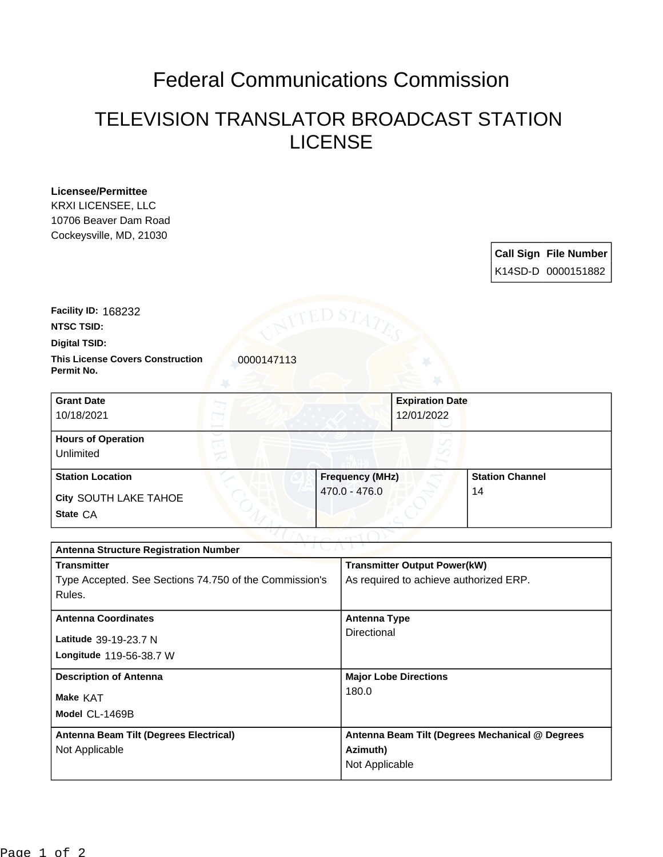## Federal Communications Commission

## TELEVISION TRANSLATOR BROADCAST STATION LICENSE

| <b>Licensee/Permittee</b> |
|---------------------------|
| KRXI LICENSEE, LLC        |
| 10706 Beaver Dam Road     |
| Cockeysville, MD, 21030   |

| <b>Call Sign File Number</b> |
|------------------------------|
| K14SD-D 0000151882           |

**NTSC TSID: Facility ID:** 168232

**Digital TSID:**

**This License Covers Construction**  0000147113 **Permit No.**

| <b>Grant Date</b><br>10/18/2021        | <b>Expiration Date</b><br>12/01/2022 |                        |
|----------------------------------------|--------------------------------------|------------------------|
| <b>Hours of Operation</b><br>Unlimited |                                      |                        |
| <b>Station Location</b>                | <b>Frequency (MHz)</b>               | <b>Station Channel</b> |
| City SOUTH LAKE TAHOE<br>State CA      | $470.0 - 476.0$                      | 14                     |

| つりまし パーレン<br><b>Antenna Structure Registration Number</b> |                                                 |  |  |  |
|-----------------------------------------------------------|-------------------------------------------------|--|--|--|
| <b>Transmitter</b>                                        | <b>Transmitter Output Power(kW)</b>             |  |  |  |
| Type Accepted. See Sections 74.750 of the Commission's    | As required to achieve authorized ERP.          |  |  |  |
| Rules.                                                    |                                                 |  |  |  |
| <b>Antenna Coordinates</b>                                | <b>Antenna Type</b>                             |  |  |  |
|                                                           | Directional                                     |  |  |  |
| Latitude 39-19-23.7 N                                     |                                                 |  |  |  |
| Longitude 119-56-38.7 W                                   |                                                 |  |  |  |
| <b>Description of Antenna</b>                             | <b>Major Lobe Directions</b>                    |  |  |  |
| <b>Make KAT</b>                                           | 180.0                                           |  |  |  |
| Model CL-1469B                                            |                                                 |  |  |  |
| Antenna Beam Tilt (Degrees Electrical)                    | Antenna Beam Tilt (Degrees Mechanical @ Degrees |  |  |  |
| Not Applicable                                            | Azimuth)                                        |  |  |  |
|                                                           | Not Applicable                                  |  |  |  |